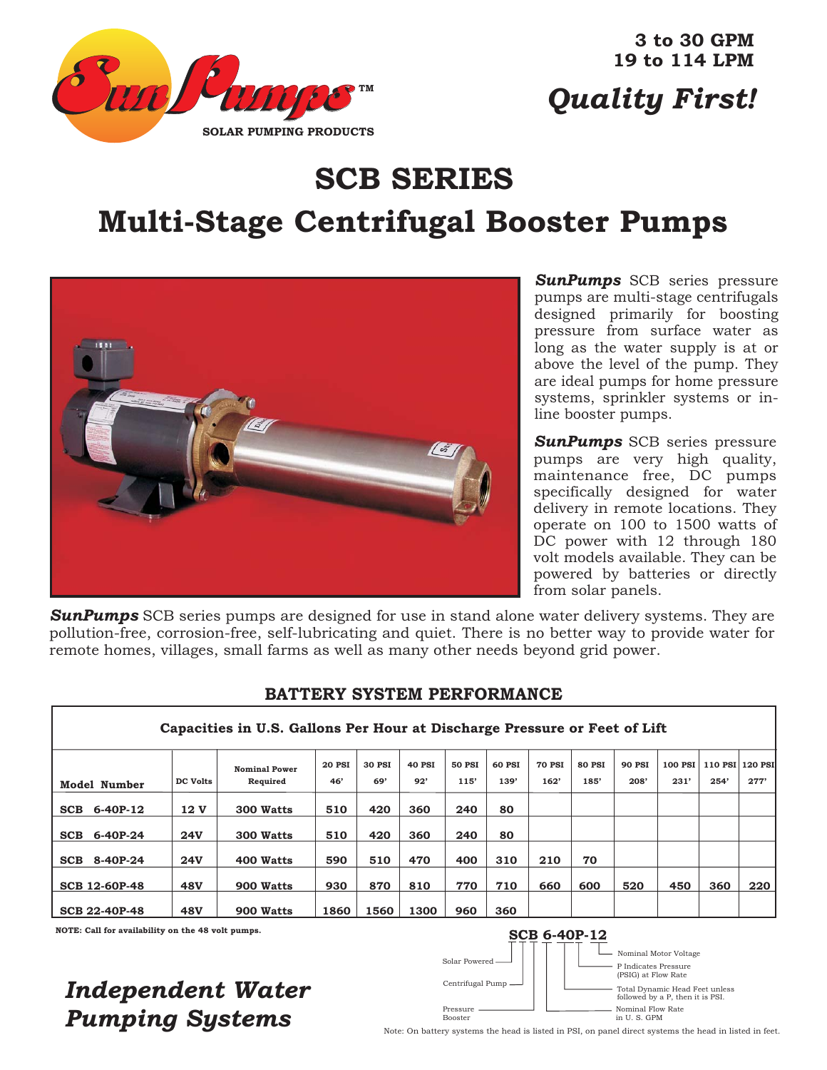

**3 to 30 GPM 19 to 114 LPM**

# *Quality First!*

# **SCB SERIES**

# **Multi-Stage Centrifugal Booster Pumps**



*SunPumps* SCB series pressure pumps are multi-stage centrifugals designed primarily for boosting pressure from surface water as long as the water supply is at or above the level of the pump. They are ideal pumps for home pressure systems, sprinkler systems or inline booster pumps.

*SunPumps* SCB series pressure pumps are very high quality, maintenance free, DC pumps specifically designed for water delivery in remote locations. They operate on 100 to 1500 watts of DC power with 12 through 180 volt models available. They can be powered by batteries or directly from solar panels.

*SunPumps* SCB series pumps are designed for use in stand alone water delivery systems. They are pollution-free, corrosion-free, self-lubricating and quiet. There is no better way to provide water for remote homes, villages, small farms as well as many other needs beyond grid power.

|                     | Capacities in U.S. Gallons Per Hour at Discharge Pressure or Feet of Lift |                 |                      |               |               |               |               |        |               |               |               |         |                 |      |
|---------------------|---------------------------------------------------------------------------|-----------------|----------------------|---------------|---------------|---------------|---------------|--------|---------------|---------------|---------------|---------|-----------------|------|
|                     |                                                                           |                 | <b>Nominal Power</b> | <b>20 PSI</b> | <b>30 PSI</b> | <b>40 PSI</b> | <b>50 PSI</b> | 60 PSI | <b>70 PSI</b> | <b>80 PSI</b> | <b>90 PSI</b> | 100 PSI | 110 PSI 120 PSI |      |
| <b>Model Number</b> |                                                                           | <b>DC Volts</b> | Required             | 46'           | 69'           | 92'           | 115'          | 139'   | 162'          | 185'          | 208'          | 231'    | 254'            | 277' |
| SCB                 | 6-40P-12                                                                  | 12 V            | 300 Watts            | 510           | 420           | 360           | 240           | 80     |               |               |               |         |                 |      |
| SCB                 | 6-40P-24                                                                  | <b>24V</b>      | 300 Watts            | 510           | 420           | 360           | 240           | 80     |               |               |               |         |                 |      |
| SCB                 | 8-40P-24                                                                  | 24V             | 400 Watts            | 590           | 510           | 470           | 400           | 310    | 210           | 70            |               |         |                 |      |
|                     | <b>SCB 12-60P-48</b>                                                      | <b>48V</b>      | 900 Watts            | 930           | 870           | 810           | 770           | 710    | 660           | 600           | 520           | 450     | 360             | 220  |
|                     | <b>SCB 22-40P-48</b>                                                      | <b>48V</b>      | 900 Watts            | 1860          | 1560          | 1300          | 960           | 360    |               |               |               |         |                 |      |

#### **BATTERY SYSTEM PERFORMANCE**

### *Independent Water Pumping Systems*



Note: On battery systems the head is listed in PSI, on panel direct systems the head in listed in feet.